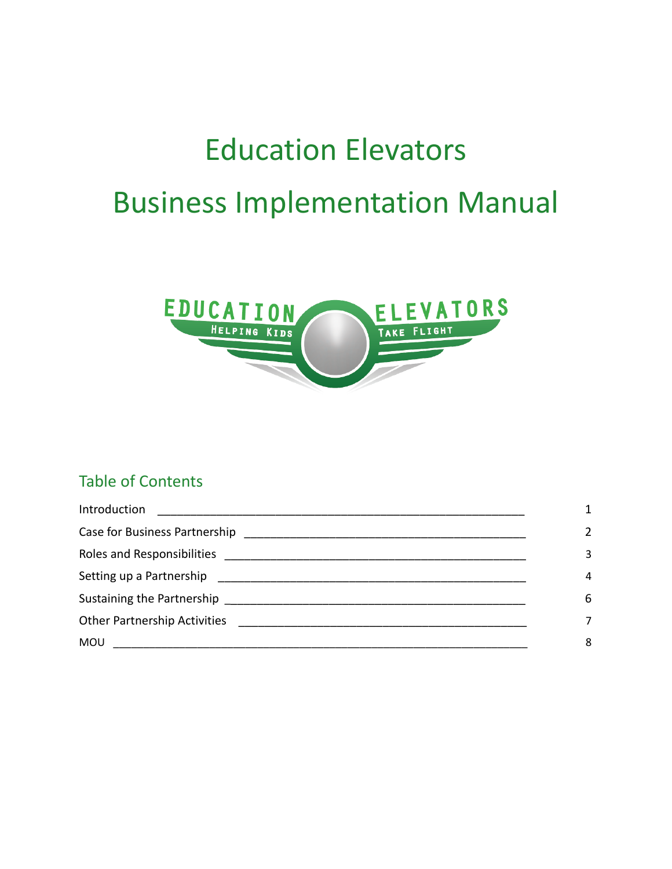# Education Elevators Business Implementation Manual



# Table of Contents

| Introduction                                                                                                                                                                                                                                       |               |
|----------------------------------------------------------------------------------------------------------------------------------------------------------------------------------------------------------------------------------------------------|---------------|
|                                                                                                                                                                                                                                                    | $\mathfrak z$ |
|                                                                                                                                                                                                                                                    | 3             |
|                                                                                                                                                                                                                                                    | 4             |
|                                                                                                                                                                                                                                                    | 6             |
|                                                                                                                                                                                                                                                    |               |
| <b>MOU</b><br><u> 2000 - Jan James James Bernard Bernard Bernard Bernard Bernard Bernard Bernard Bernard Bernard Bernard Bernard Bernard Bernard Bernard Bernard Bernard Bernard Bernard Bernard Bernard Bernard Bernard Bernard Bernard Berna</u> | 8             |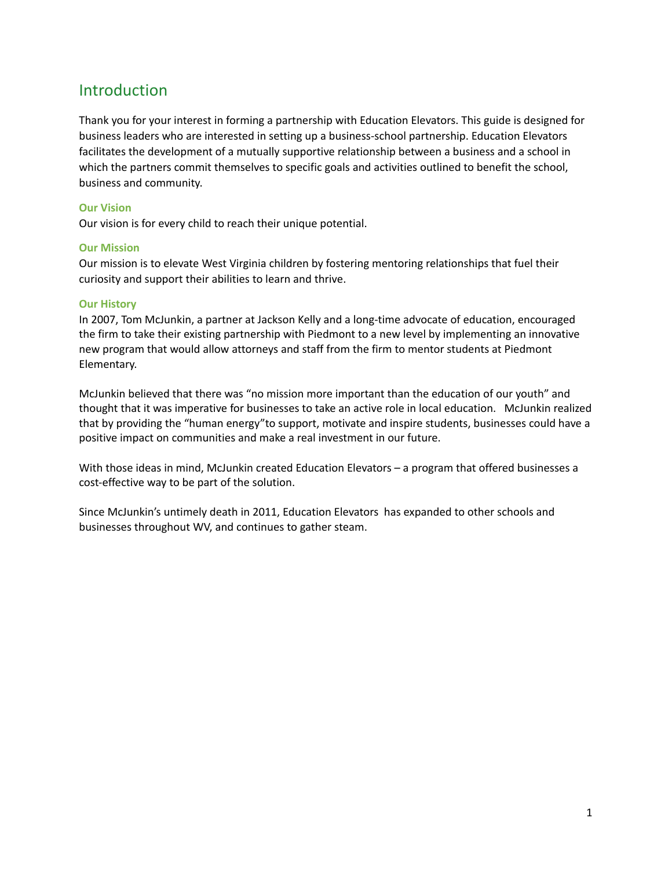# Introduction

Thank you for your interest in forming a partnership with Education Elevators. This guide is designed for business leaders who are interested in setting up a business-school partnership. Education Elevators facilitates the development of a mutually supportive relationship between a business and a school in which the partners commit themselves to specific goals and activities outlined to benefit the school, business and community.

#### **Our Vision**

Our vision is for every child to reach their unique potential.

#### **Our Mission**

Our mission is to elevate West Virginia children by fostering mentoring relationships that fuel their curiosity and support their abilities to learn and thrive.

#### **Our History**

In 2007, Tom McJunkin, a partner at Jackson Kelly and a long-time advocate of education, encouraged the firm to take their existing partnership with Piedmont to a new level by implementing an innovative new program that would allow attorneys and staff from the firm to mentor students at Piedmont Elementary.

McJunkin believed that there was "no mission more important than the education of our youth" and thought that it was imperative for businesses to take an active role in local education. McJunkin realized that by providing the "human energy"to support, motivate and inspire students, businesses could have a positive impact on communities and make a real investment in our future.

With those ideas in mind, McJunkin created Education Elevators – a program that offered businesses a cost-effective way to be part of the solution.

Since McJunkin's untimely death in 2011, Education Elevators has expanded to other schools and businesses throughout WV, and continues to gather steam.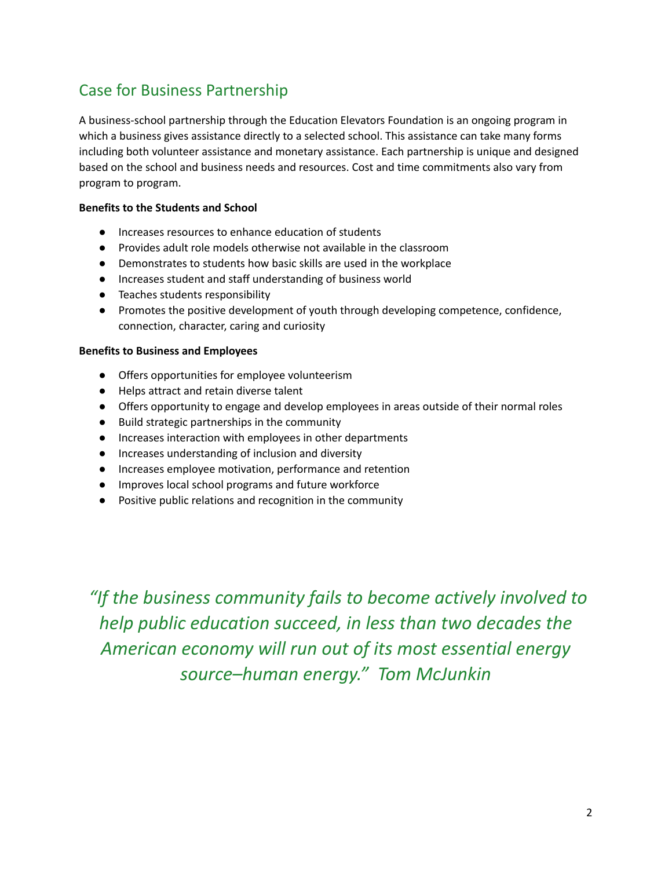# Case for Business Partnership

A business-school partnership through the Education Elevators Foundation is an ongoing program in which a business gives assistance directly to a selected school. This assistance can take many forms including both volunteer assistance and monetary assistance. Each partnership is unique and designed based on the school and business needs and resources. Cost and time commitments also vary from program to program.

#### **Benefits to the Students and School**

- Increases resources to enhance education of students
- Provides adult role models otherwise not available in the classroom
- Demonstrates to students how basic skills are used in the workplace
- Increases student and staff understanding of business world
- Teaches students responsibility
- Promotes the positive development of youth through developing competence, confidence, connection, character, caring and curiosity

#### **Benefits to Business and Employees**

- Offers opportunities for employee volunteerism
- Helps attract and retain diverse talent
- Offers opportunity to engage and develop employees in areas outside of their normal roles
- Build strategic partnerships in the community
- Increases interaction with employees in other departments
- Increases understanding of inclusion and diversity
- Increases employee motivation, performance and retention
- Improves local school programs and future workforce
- Positive public relations and recognition in the community

*"If the business community fails to become actively involved to help public education succeed, in less than two decades the American economy will run out of its most essential energy source–human energy." Tom McJunkin*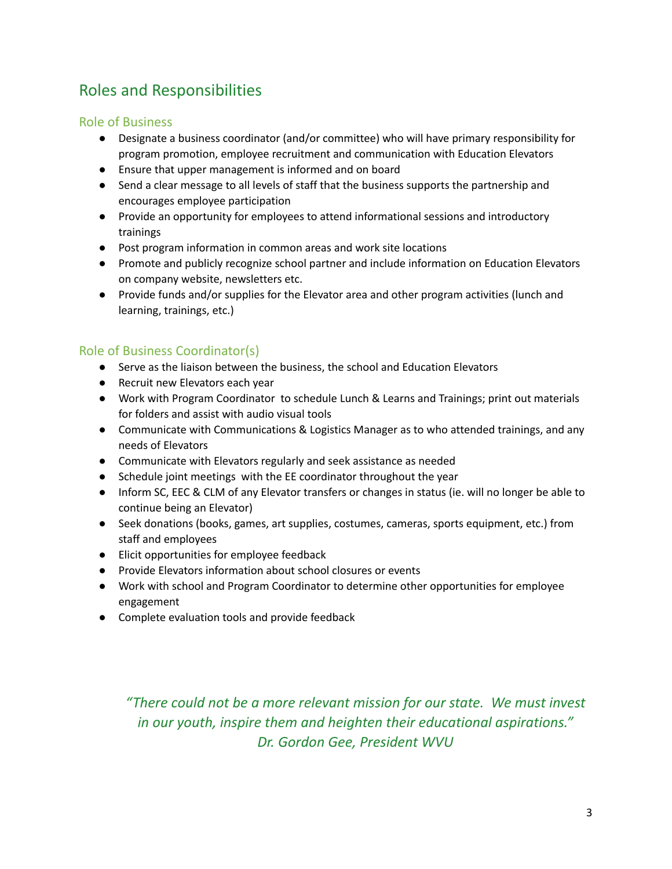# Roles and Responsibilities

# Role of Business

- Designate a business coordinator (and/or committee) who will have primary responsibility for program promotion, employee recruitment and communication with Education Elevators
- Ensure that upper management is informed and on board
- Send a clear message to all levels of staff that the business supports the partnership and encourages employee participation
- Provide an opportunity for employees to attend informational sessions and introductory trainings
- Post program information in common areas and work site locations
- Promote and publicly recognize school partner and include information on Education Elevators on company website, newsletters etc.
- Provide funds and/or supplies for the Elevator area and other program activities (lunch and learning, trainings, etc.)

# Role of Business Coordinator(s)

- Serve as the liaison between the business, the school and Education Elevators
- Recruit new Elevators each year
- Work with Program Coordinator to schedule Lunch & Learns and Trainings; print out materials for folders and assist with audio visual tools
- Communicate with Communications & Logistics Manager as to who attended trainings, and any needs of Elevators
- Communicate with Elevators regularly and seek assistance as needed
- Schedule joint meetings with the EE coordinator throughout the year
- Inform SC, EEC & CLM of any Elevator transfers or changes in status (ie. will no longer be able to continue being an Elevator)
- Seek donations (books, games, art supplies, costumes, cameras, sports equipment, etc.) from staff and employees
- Elicit opportunities for employee feedback
- Provide Elevators information about school closures or events
- Work with school and Program Coordinator to determine other opportunities for employee engagement
- Complete evaluation tools and provide feedback

*"There could not be a more relevant mission for our state. We must invest in our youth, inspire them and heighten their educational aspirations." Dr. Gordon Gee, President WVU*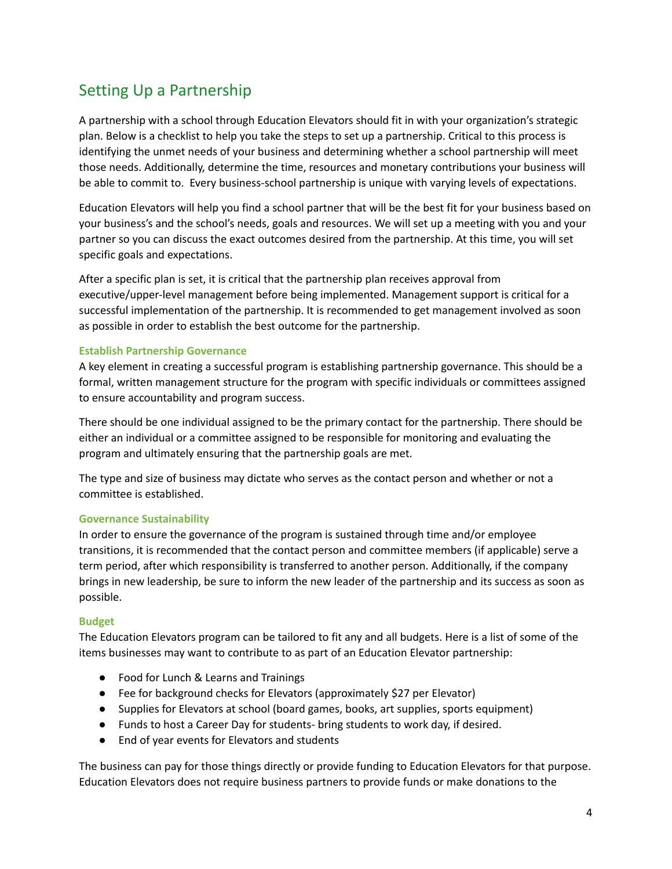# Setting Up a Partnership

A partnership with a school through Education Elevators should fit in with your organization's strategic plan. Below is a checklist to help you take the steps to set up a partnership. Critical to this process is identifying the unmet needs of your business and determining whether a school partnership will meet those needs. Additionally, determine the time, resources and monetary contributions your business will be able to commit to. Every business-school partnership is unique with varying levels of expectations.

Education Elevators will help you find a school partner that will be the best fit for your business based on your business's and the school's needs, goals and resources. We will set up a meeting with you and your partner so you can discuss the exact outcomes desired from the partnership. At this time, you will set specific goals and expectations.

After a specific plan is set, it is critical that the partnership plan receives approval from executive/upper-level management before being implemented. Management support is critical for a successful implementation of the partnership. It is recommended to get management involved as soon as possible in order to establish the best outcome for the partnership.

#### **Establish Partnership Governance**

A key element in creating a successful program is establishing partnership governance. This should be a formal, written management structure for the program with specific individuals or committees assigned to ensure accountability and program success.

There should be one individual assigned to be the primary contact for the partnership. There should be either an individual or a committee assigned to be responsible for monitoring and evaluating the program and ultimately ensuring that the partnership goals are met.

The type and size of business may dictate who serves as the contact person and whether or not a committee is established.

#### **Governance Sustainability**

In order to ensure the governance of the program is sustained through time and/or employee transitions, it is recommended that the contact person and committee members (if applicable) serve a term period, after which responsibility is transferred to another person. Additionally, if the company brings in new leadership, be sure to inform the new leader of the partnership and its success as soon as possible.

#### **Budget**

The Education Elevators program can be tailored to fit any and all budgets. Here is a list of some of the items businesses may want to contribute to as part of an Education Elevator partnership:

- Food for Lunch & Learns and Trainings
- Fee for background checks for Elevators (approximately \$27 per Elevator)
- Supplies for Elevators at school (board games, books, art supplies, sports equipment)
- Funds to host a Career Day for students- bring students to work day, if desired.
- End of year events for Elevators and students

The business can pay for those things directly or provide funding to Education Elevators for that purpose. Education Elevators does not require business partners to provide funds or make donations to the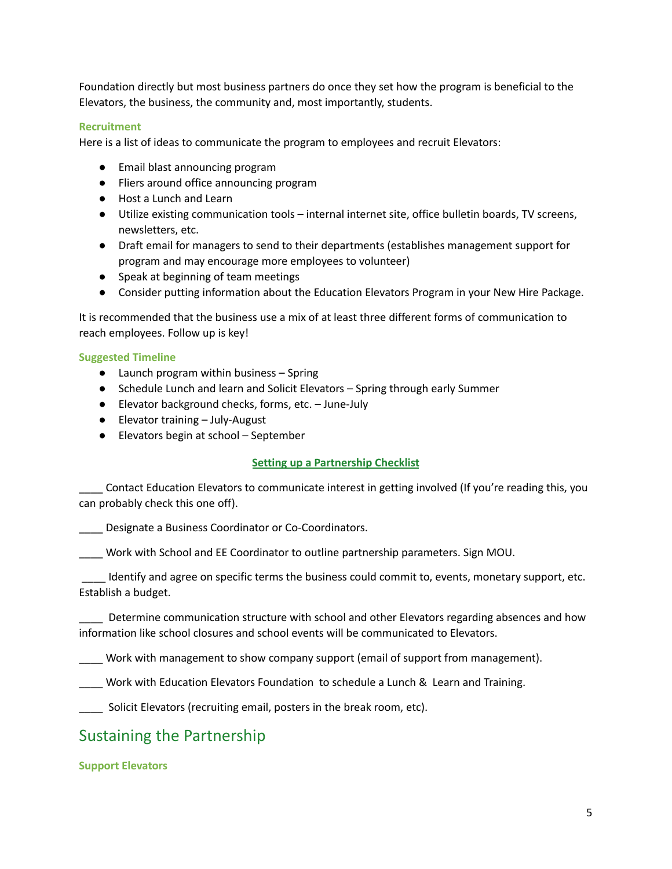Foundation directly but most business partners do once they set how the program is beneficial to the Elevators, the business, the community and, most importantly, students.

#### **Recruitment**

Here is a list of ideas to communicate the program to employees and recruit Elevators:

- Email blast announcing program
- Fliers around office announcing program
- Host a Lunch and Learn
- Utilize existing communication tools internal internet site, office bulletin boards, TV screens, newsletters, etc.
- Draft email for managers to send to their departments (establishes management support for program and may encourage more employees to volunteer)
- Speak at beginning of team meetings
- Consider putting information about the Education Elevators Program in your New Hire Package.

It is recommended that the business use a mix of at least three different forms of communication to reach employees. Follow up is key!

#### **Suggested Timeline**

- Launch program within business Spring
- Schedule Lunch and learn and Solicit Elevators Spring through early Summer
- Elevator background checks, forms, etc. June-July
- Elevator training July-August
- Elevators begin at school September

#### **Setting up a Partnership Checklist**

\_\_\_\_ Contact Education Elevators to communicate interest in getting involved (If you're reading this, you can probably check this one off).

\_\_\_\_ Designate a Business Coordinator or Co-Coordinators.

\_\_\_\_ Work with School and EE Coordinator to outline partnership parameters. Sign MOU.

\_\_\_\_ Identify and agree on specific terms the business could commit to, events, monetary support, etc. Establish a budget.

\_\_\_\_ Determine communication structure with school and other Elevators regarding absences and how information like school closures and school events will be communicated to Elevators.

\_\_\_\_ Work with management to show company support (email of support from management).

\_\_\_\_ Work with Education Elevators Foundation to schedule a Lunch & Learn and Training.

Solicit Elevators (recruiting email, posters in the break room, etc).

# Sustaining the Partnership

**Support Elevators**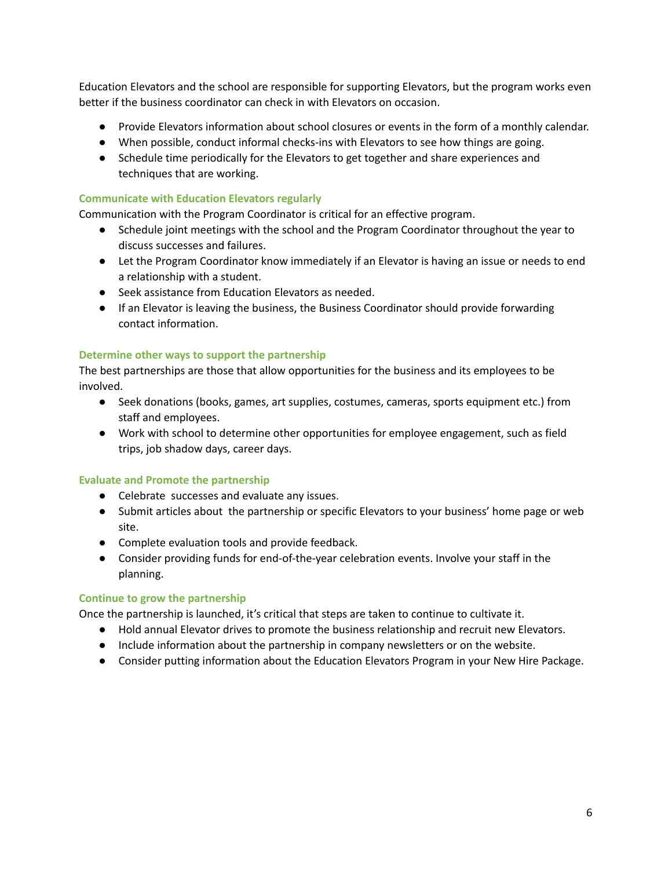Education Elevators and the school are responsible for supporting Elevators, but the program works even better if the business coordinator can check in with Elevators on occasion.

- Provide Elevators information about school closures or events in the form of a monthly calendar.
- When possible, conduct informal checks-ins with Elevators to see how things are going.
- Schedule time periodically for the Elevators to get together and share experiences and techniques that are working.

#### **Communicate with Education Elevators regularly**

Communication with the Program Coordinator is critical for an effective program.

- Schedule joint meetings with the school and the Program Coordinator throughout the year to discuss successes and failures.
- Let the Program Coordinator know immediately if an Elevator is having an issue or needs to end a relationship with a student.
- Seek assistance from Education Elevators as needed.
- If an Elevator is leaving the business, the Business Coordinator should provide forwarding contact information.

#### **Determine other ways to support the partnership**

The best partnerships are those that allow opportunities for the business and its employees to be involved.

- Seek donations (books, games, art supplies, costumes, cameras, sports equipment etc.) from staff and employees.
- Work with school to determine other opportunities for employee engagement, such as field trips, job shadow days, career days.

## **Evaluate and Promote the partnership**

- Celebrate successes and evaluate any issues.
- Submit articles about the partnership or specific Elevators to your business' home page or web site.
- Complete evaluation tools and provide feedback.
- Consider providing funds for end-of-the-year celebration events. Involve your staff in the planning.

#### **Continue to grow the partnership**

Once the partnership is launched, it's critical that steps are taken to continue to cultivate it.

- Hold annual Elevator drives to promote the business relationship and recruit new Elevators.
- Include information about the partnership in company newsletters or on the website.
- Consider putting information about the Education Elevators Program in your New Hire Package.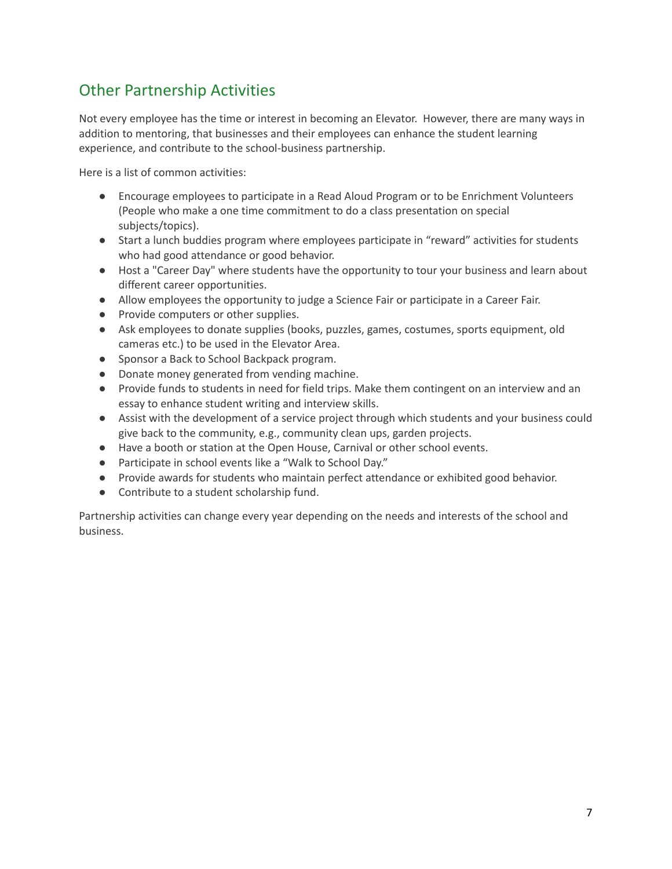# Other Partnership Activities

Not every employee has the time or interest in becoming an Elevator. However, there are many ways in addition to mentoring, that businesses and their employees can enhance the student learning experience, and contribute to the school-business partnership.

Here is a list of common activities:

- Encourage employees to participate in a Read Aloud Program or to be Enrichment Volunteers (People who make a one time commitment to do a class presentation on special subjects/topics).
- Start a lunch buddies program where employees participate in "reward" activities for students who had good attendance or good behavior.
- Host a "Career Day" where students have the opportunity to tour your business and learn about different career opportunities.
- Allow employees the opportunity to judge a Science Fair or participate in a Career Fair.
- Provide computers or other supplies.
- Ask employees to donate supplies (books, puzzles, games, costumes, sports equipment, old cameras etc.) to be used in the Elevator Area.
- Sponsor a Back to School Backpack program.
- Donate money generated from vending machine.
- Provide funds to students in need for field trips. Make them contingent on an interview and an essay to enhance student writing and interview skills.
- Assist with the development of a service project through which students and your business could give back to the community, e.g., community clean ups, garden projects.
- Have a booth or station at the Open House, Carnival or other school events.
- Participate in school events like a "Walk to School Day."
- Provide awards for students who maintain perfect attendance or exhibited good behavior.
- Contribute to a student scholarship fund.

Partnership activities can change every year depending on the needs and interests of the school and business.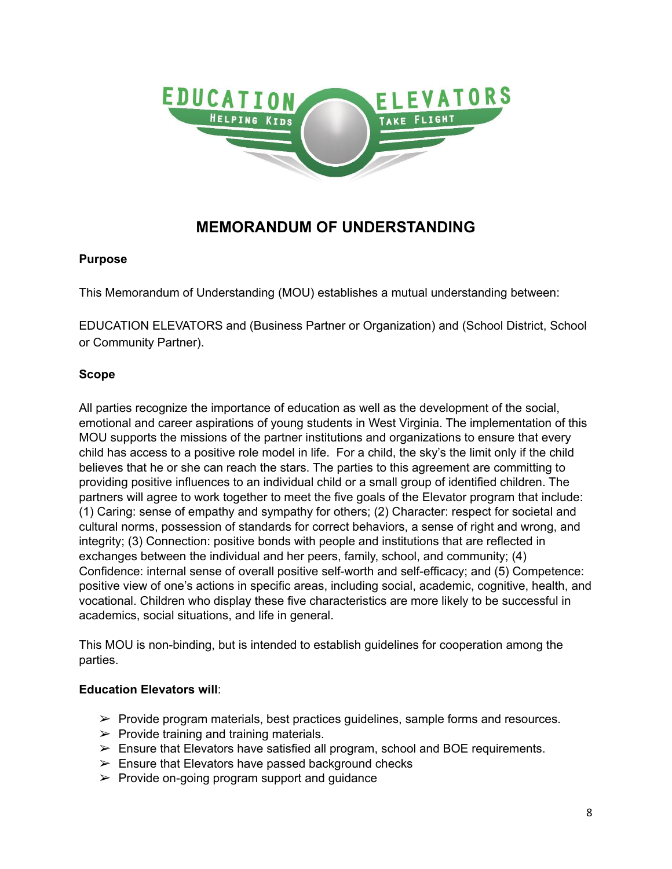

# **MEMORANDUM OF UNDERSTANDING**

## **Purpose**

This Memorandum of Understanding (MOU) establishes a mutual understanding between:

EDUCATION ELEVATORS and (Business Partner or Organization) and (School District, School or Community Partner).

## **Scope**

All parties recognize the importance of education as well as the development of the social, emotional and career aspirations of young students in West Virginia. The implementation of this MOU supports the missions of the partner institutions and organizations to ensure that every child has access to a positive role model in life. For a child, the sky's the limit only if the child believes that he or she can reach the stars. The parties to this agreement are committing to providing positive influences to an individual child or a small group of identified children. The partners will agree to work together to meet the five goals of the Elevator program that include: (1) Caring: sense of empathy and sympathy for others; (2) Character: respect for societal and cultural norms, possession of standards for correct behaviors, a sense of right and wrong, and integrity; (3) Connection: positive bonds with people and institutions that are reflected in exchanges between the individual and her peers, family, school, and community; (4) Confidence: internal sense of overall positive self-worth and self-efficacy; and (5) Competence: positive view of one's actions in specific areas, including social, academic, cognitive, health, and vocational. Children who display these five characteristics are more likely to be successful in academics, social situations, and life in general.

This MOU is non-binding, but is intended to establish guidelines for cooperation among the parties.

## **Education Elevators will**:

- $\triangleright$  Provide program materials, best practices guidelines, sample forms and resources.
- $\triangleright$  Provide training and training materials.
- $\triangleright$  Ensure that Elevators have satisfied all program, school and BOE requirements.
- $\triangleright$  Ensure that Elevators have passed background checks
- $\triangleright$  Provide on-going program support and guidance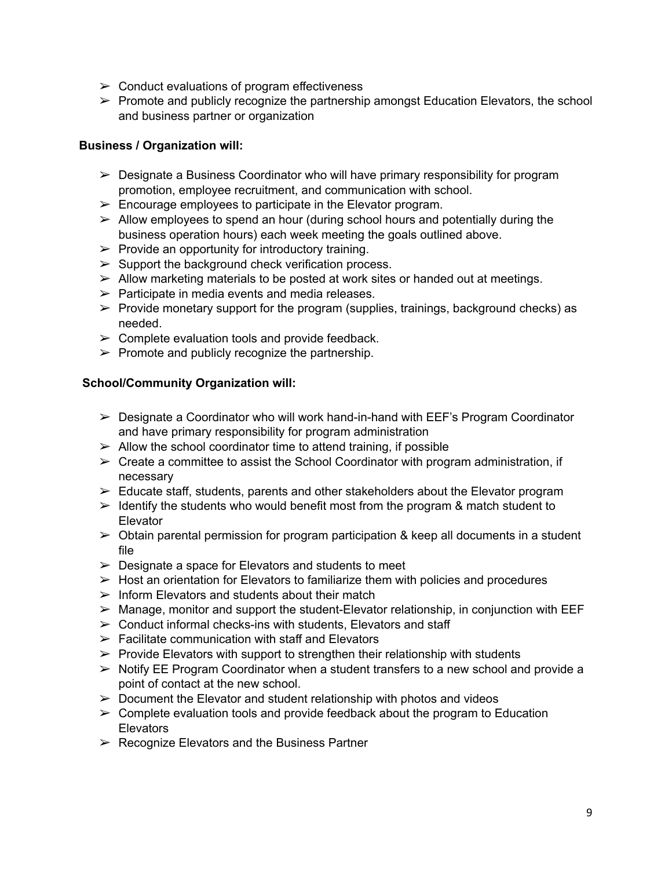- $\geq$  Conduct evaluations of program effectiveness
- $\triangleright$  Promote and publicly recognize the partnership amongst Education Elevators, the school and business partner or organization

## **Business / Organization will:**

- $\triangleright$  Designate a Business Coordinator who will have primary responsibility for program promotion, employee recruitment, and communication with school.
- $\triangleright$  Encourage employees to participate in the Elevator program.
- $\geq$  Allow employees to spend an hour (during school hours and potentially during the business operation hours) each week meeting the goals outlined above.
- $\triangleright$  Provide an opportunity for introductory training.
- $\triangleright$  Support the background check verification process.
- $\triangleright$  Allow marketing materials to be posted at work sites or handed out at meetings.
- $\triangleright$  Participate in media events and media releases.
- $\triangleright$  Provide monetary support for the program (supplies, trainings, background checks) as needed.
- $\triangleright$  Complete evaluation tools and provide feedback.
- $\triangleright$  Promote and publicly recognize the partnership.

## **School/Community Organization will:**

- $\triangleright$  Designate a Coordinator who will work hand-in-hand with EEF's Program Coordinator and have primary responsibility for program administration
- $\triangleright$  Allow the school coordinator time to attend training, if possible
- $\triangleright$  Create a committee to assist the School Coordinator with program administration, if necessary
- $\triangleright$  Educate staff, students, parents and other stakeholders about the Elevator program
- $\triangleright$  Identify the students who would benefit most from the program & match student to **Elevator**
- $\triangleright$  Obtain parental permission for program participation & keep all documents in a student file
- $\triangleright$  Designate a space for Elevators and students to meet
- $\triangleright$  Host an orientation for Elevators to familiarize them with policies and procedures
- $\triangleright$  Inform Elevators and students about their match
- $\triangleright$  Manage, monitor and support the student-Elevator relationship, in conjunction with EEF
- $\geq$  Conduct informal checks-ins with students. Elevators and staff
- $\triangleright$  Facilitate communication with staff and Elevators
- $\triangleright$  Provide Elevators with support to strengthen their relationship with students
- $\triangleright$  Notify EE Program Coordinator when a student transfers to a new school and provide a point of contact at the new school.
- $\triangleright$  Document the Elevator and student relationship with photos and videos
- $\triangleright$  Complete evaluation tools and provide feedback about the program to Education **Elevators**
- $\triangleright$  Recognize Elevators and the Business Partner